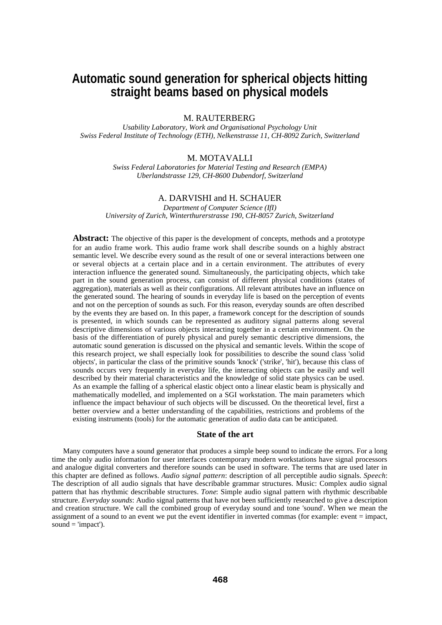# **Automatic sound generation for spherical objects hitting straight beams based on physical models**

M. RAUTERBERG

*Usability Laboratory, Work and Organisational Psychology Unit Swiss Federal Institute of Technology (ETH), Nelkenstrasse 11, CH-8092 Zurich, Switzerland*

# M. MOTAVALLI

*Swiss Federal Laboratories for Material Testing and Research (EMPA) Uberlandstrasse 129, CH-8600 Dubendorf, Switzerland*

# A. DARVISHI and H. SCHAUER

*Department of Computer Science (IfI) University of Zurich, Winterthurerstrasse 190, CH-8057 Zurich, Switzerland*

**Abstract:** The objective of this paper is the development of concepts, methods and a prototype for an audio frame work. This audio frame work shall describe sounds on a highly abstract semantic level. We describe every sound as the result of one or several interactions between one or several objects at a certain place and in a certain environment. The attributes of every interaction influence the generated sound. Simultaneously, the participating objects, which take part in the sound generation process, can consist of different physical conditions (states of aggregation), materials as well as their configurations. All relevant attributes have an influence on the generated sound. The hearing of sounds in everyday life is based on the perception of events and not on the perception of sounds as such. For this reason, everyday sounds are often described by the events they are based on. In this paper, a framework concept for the description of sounds is presented, in which sounds can be represented as auditory signal patterns along several descriptive dimensions of various objects interacting together in a certain environment. On the basis of the differentiation of purely physical and purely semantic descriptive dimensions, the automatic sound generation is discussed on the physical and semantic levels. Within the scope of this research project, we shall especially look for possibilities to describe the sound class 'solid objects', in particular the class of the primitive sounds 'knock' ('strike', 'hit'), because this class of sounds occurs very frequently in everyday life, the interacting objects can be easily and well described by their material characteristics and the knowledge of solid state physics can be used. As an example the falling of a spherical elastic object onto a linear elastic beam is physically and mathematically modelled, and implemented on a SGI workstation. The main parameters which influence the impact behaviour of such objects will be discussed. On the theoretical level, first a better overview and a better understanding of the capabilities, restrictions and problems of the existing instruments (tools) for the automatic generation of audio data can be anticipated.

## **State of the art**

Many computers have a sound generator that produces a simple beep sound to indicate the errors. For a long time the only audio information for user interfaces contemporary modern workstations have signal processors and analogue digital converters and therefore sounds can be used in software. The terms that are used later in this chapter are defined as follows. *Audio signal pattern*: description of all perceptible audio signals. *Speech*: The description of all audio signals that have describable grammar structures. Music: Complex audio signal pattern that has rhythmic describable structures. *Tone*: Simple audio signal pattern with rhythmic describable structure. *Everyday sounds*: Audio signal patterns that have not been sufficiently researched to give a description and creation structure. We call the combined group of everyday sound and tone 'sound'. When we mean the assignment of a sound to an event we put the event identifier in inverted commas (for example: event = impact, sound  $=$  'impact').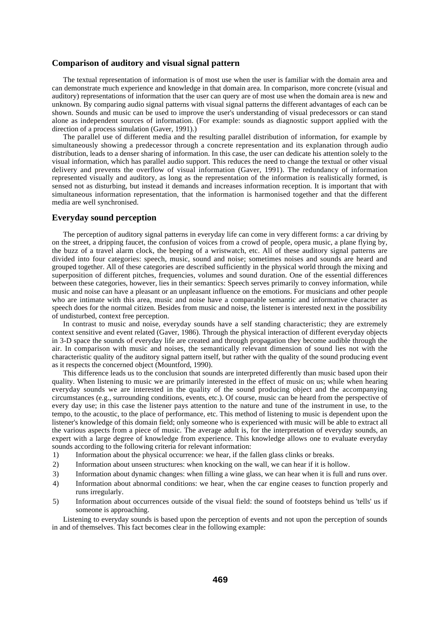# **Comparison of auditory and visual signal pattern**

The textual representation of information is of most use when the user is familiar with the domain area and can demonstrate much experience and knowledge in that domain area. In comparison, more concrete (visual and auditory) representations of information that the user can query are of most use when the domain area is new and unknown. By comparing audio signal patterns with visual signal patterns the different advantages of each can be shown. Sounds and music can be used to improve the user's understanding of visual predecessors or can stand alone as independent sources of information. (For example: sounds as diagnostic support applied with the direction of a process simulation (Gaver, 1991).)

The parallel use of different media and the resulting parallel distribution of information, for example by simultaneously showing a predecessor through a concrete representation and its explanation through audio distribution, leads to a denser sharing of information. In this case, the user can dedicate his attention solely to the visual information, which has parallel audio support. This reduces the need to change the textual or other visual delivery and prevents the overflow of visual information (Gaver, 1991). The redundancy of information represented visually and auditory, as long as the representation of the information is realistically formed, is sensed not as disturbing, but instead it demands and increases information reception. It is important that with simultaneous information representation, that the information is harmonised together and that the different media are well synchronised.

#### **Everyday sound perception**

The perception of auditory signal patterns in everyday life can come in very different forms: a car driving by on the street, a dripping faucet, the confusion of voices from a crowd of people, opera music, a plane flying by, the buzz of a travel alarm clock, the beeping of a wristwatch, etc. All of these auditory signal patterns are divided into four categories: speech, music, sound and noise; sometimes noises and sounds are heard and grouped together. All of these categories are described sufficiently in the physical world through the mixing and superposition of different pitches, frequencies, volumes and sound duration. One of the essential differences between these categories, however, lies in their semantics: Speech serves primarily to convey information, while music and noise can have a pleasant or an unpleasant influence on the emotions. For musicians and other people who are intimate with this area, music and noise have a comparable semantic and informative character as speech does for the normal citizen. Besides from music and noise, the listener is interested next in the possibility of undisturbed, context free perception.

In contrast to music and noise, everyday sounds have a self standing characteristic; they are extremely context sensitive and event related (Gaver, 1986). Through the physical interaction of different everyday objects in 3-D space the sounds of everyday life are created and through propagation they become audible through the air. In comparison with music and noises, the semantically relevant dimension of sound lies not with the characteristic quality of the auditory signal pattern itself, but rather with the quality of the sound producing event as it respects the concerned object (Mountford, 1990).

This difference leads us to the conclusion that sounds are interpreted differently than music based upon their quality. When listening to music we are primarily interested in the effect of music on us; while when hearing everyday sounds we are interested in the quality of the sound producing object and the accompanying circumstances (e.g., surrounding conditions, events, etc.). Of course, music can be heard from the perspective of every day use; in this case the listener pays attention to the nature and tune of the instrument in use, to the tempo, to the acoustic, to the place of performance, etc. This method of listening to music is dependent upon the listener's knowledge of this domain field; only someone who is experienced with music will be able to extract all the various aspects from a piece of music. The average adult is, for the interpretation of everyday sounds, an expert with a large degree of knowledge from experience. This knowledge allows one to evaluate everyday sounds according to the following criteria for relevant information:

- 1) Information about the physical occurrence: we hear, if the fallen glass clinks or breaks.
- 2) Information about unseen structures: when knocking on the wall, we can hear if it is hollow.
- 3) Information about dynamic changes: when filling a wine glass, we can hear when it is full and runs over.
- 4) Information about abnormal conditions: we hear, when the car engine ceases to function properly and runs irregularly.
- 5) Information about occurrences outside of the visual field: the sound of footsteps behind us 'tells' us if someone is approaching.

Listening to everyday sounds is based upon the perception of events and not upon the perception of sounds in and of themselves. This fact becomes clear in the following example: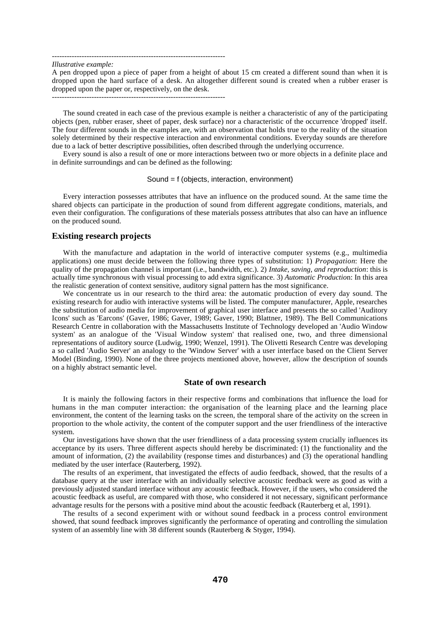----------------------------------------------------------------------

*Illustrative example:*

A pen dropped upon a piece of paper from a height of about 15 cm created a different sound than when it is dropped upon the hard surface of a desk. An altogether different sound is created when a rubber eraser is dropped upon the paper or, respectively, on the desk.

----------------------------------------------------------------------

The sound created in each case of the previous example is neither a characteristic of any of the participating objects (pen, rubber eraser, sheet of paper, desk surface) nor a characteristic of the occurrence 'dropped' itself. The four different sounds in the examples are, with an observation that holds true to the reality of the situation solely determined by their respective interaction and environmental conditions. Everyday sounds are therefore due to a lack of better descriptive possibilities, often described through the underlying occurrence.

Every sound is also a result of one or more interactions between two or more objects in a definite place and in definite surroundings and can be defined as the following:

#### Sound = f (objects, interaction, environment)

Every interaction possesses attributes that have an influence on the produced sound. At the same time the shared objects can participate in the production of sound from different aggregate conditions, materials, and even their configuration. The configurations of these materials possess attributes that also can have an influence on the produced sound.

## **Existing research projects**

With the manufacture and adaptation in the world of interactive computer systems (e.g., multimedia applications) one must decide between the following three types of substitution: 1) *Propagation*: Here the quality of the propagation channel is important (i.e., bandwidth, etc.). 2) *Intake, saving, and reproduction*: this is actually time synchronous with visual processing to add extra significance. 3) *Automatic Productio*n: In this area the realistic generation of context sensitive, auditory signal pattern has the most significance.

We concentrate us in our research to the third area: the automatic production of every day sound. The existing research for audio with interactive systems will be listed. The computer manufacturer, Apple, researches the substitution of audio media for improvement of graphical user interface and presents the so called 'Auditory Icons' such as 'Earcons' (Gaver, 1986; Gaver, 1989; Gaver, 1990; Blattner, 1989). The Bell Communications Research Centre in collaboration with the Massachusetts Institute of Technology developed an 'Audio Window system' as an analogue of the 'Visual Window system' that realised one, two, and three dimensional representations of auditory source (Ludwig, 1990; Wenzel, 1991). The Olivetti Research Centre was developing a so called 'Audio Server' an analogy to the 'Window Server' with a user interface based on the Client Server Model (Binding, 1990). None of the three projects mentioned above, however, allow the description of sounds on a highly abstract semantic level.

#### **State of own research**

It is mainly the following factors in their respective forms and combinations that influence the load for humans in the man computer interaction: the organisation of the learning place and the learning place environment, the content of the learning tasks on the screen, the temporal share of the activity on the screen in proportion to the whole activity, the content of the computer support and the user friendliness of the interactive system.

Our investigations have shown that the user friendliness of a data processing system crucially influences its acceptance by its users. Three different aspects should hereby be discriminated: (1) the functionality and the amount of information, (2) the availability (response times and disturbances) and (3) the operational handling mediated by the user interface (Rauterberg, 1992).

The results of an experiment, that investigated the effects of audio feedback, showed, that the results of a database query at the user interface with an individually selective acoustic feedback were as good as with a previously adjusted standard interface without any acoustic feedback. However, if the users, who considered the acoustic feedback as useful, are compared with those, who considered it not necessary, significant performance advantage results for the persons with a positive mind about the acoustic feedback (Rauterberg et al, 1991).

The results of a second experiment with or without sound feedback in a process control environment showed, that sound feedback improves significantly the performance of operating and controlling the simulation system of an assembly line with 38 different sounds (Rauterberg & Styger, 1994).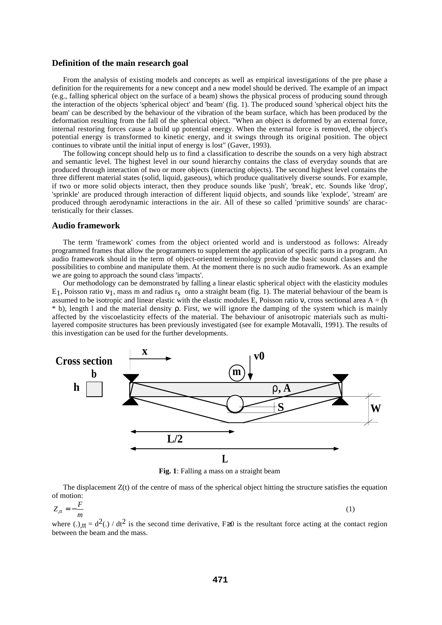## **Definition of the main research goal**

From the analysis of existing models and concepts as well as empirical investigations of the pre phase a definition for the requirements for a new concept and a new model should be derived. The example of an impact (e.g., falling spherical object on the surface of a beam) shows the physical process of producing sound through the interaction of the objects 'spherical object' and 'beam' (fig. 1). The produced sound 'spherical object hits the beam' can be described by the behaviour of the vibration of the beam surface, which has been produced by the deformation resulting from the fall of the spherical object. "When an object is deformed by an external force, internal restoring forces cause a build up potential energy. When the external force is removed, the object's potential energy is transformed to kinetic energy, and it swings through its original position. The object continues to vibrate until the initial input of energy is lost" (Gaver, 1993).

The following concept should help us to find a classification to describe the sounds on a very high abstract and semantic level. The highest level in our sound hierarchy contains the class of everyday sounds that are produced through interaction of two or more objects (interacting objects). The second highest level contains the three different material states (solid, liquid, gaseous), which produce qualitatively diverse sounds. For example, if two or more solid objects interact, then they produce sounds like 'push', 'break', etc. Sounds like 'drop', 'sprinkle' are produced through interaction of different liquid objects, and sounds like 'explode', 'stream' are produced through aerodynamic interactions in the air. All of these so called 'primitive sounds' are characteristically for their classes.

#### **Audio framework**

The term 'framework' comes from the object oriented world and is understood as follows: Already programmed frames that allow the programmers to supplement the application of specific parts in a program. An audio framework should in the term of object-oriented terminology provide the basic sound classes and the possibilities to combine and manipulate them. At the moment there is no such audio framework. As an example we are going to approach the sound class 'impacts'.

Our methodology can be demonstrated by falling a linear elastic spherical object with the elasticity modules E<sub>1</sub>, Poisson ratio  $v_1$ , mass m and radius r<sub>s</sub> onto a straight beam (fig. 1). The material behaviour of the beam is assumed to be isotropic and linear elastic with the elastic modules E, Poisson ratio v, cross sectional area  $A = (h)$  $*$  b), length l and the material density  $\rho$ . First, we will ignore the damping of the system which is mainly affected by the viscoelasticity effects of the material. The behaviour of anisotropic materials such as multilayered composite structures has been previously investigated (see for example Motavalli, 1991). The results of this investigation can be used for the further developments.



**Fig. 1**: Falling a mass on a straight beam

The displacement  $Z(t)$  of the centre of mass of the spherical object hitting the structure satisfies the equation of motion:

$$
Z_{tt} = -\frac{F}{m} \tag{1}
$$

where (.)<sub>tt</sub> =  $d^2$ (.) / dt<sup>2</sup> is the second time derivative, F≥0 is the resultant force acting at the contact region between the beam and the mass.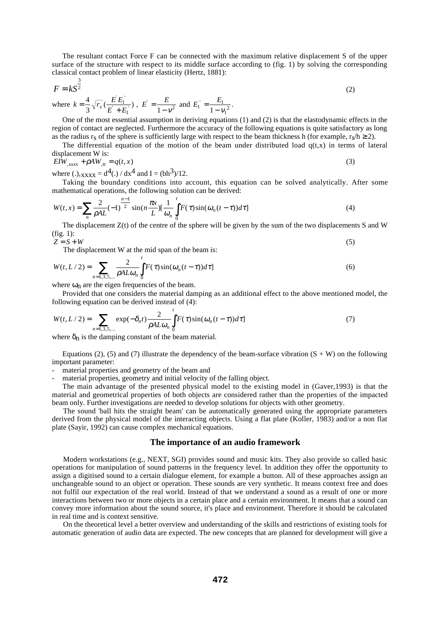The resultant contact Force F can be connected with the maximum relative displacement S of the upper surface of the structure with respect to its middle surface according to (fig. 1) by solving the corresponding classical contact problem of linear elasticity (Hertz, 1881):

$$
F = kS^{\frac{3}{2}}
$$
  
where  $k = \frac{4}{3} \sqrt{r_s} (\frac{E^{\dagger} E_1^{\dagger}}{E^{\dagger} + E_1^{\dagger}}), E^{\dagger} = \frac{E}{1 - v^2}$  and  $E_1^{\dagger} = \frac{E_1}{1 - v_1^2}.$  (2)

One of the most essential assumption in deriving equations (1) and (2) is that the elastodynamic effects in the region of contact are neglected. Furthermore the accuracy of the following equations is quite satisfactory as long as the radius  $r_s$  of the sphere is sufficiently large with respect to the beam thickness h (for example,  $r_s/h \ge 2$ ).

The differential equation of the motion of the beam under distributed load  $q(t,x)$  in terms of lateral displacement W is:

$$
EIW_{,xxxx} + \rho A W_{,tt} = q(t,x) \tag{3}
$$

where (.),  $_{\text{XXXX}} = d^4$ (.) /  $dx^4$  and I = (bh<sup>3</sup>)/12.

Taking the boundary conditions into account, this equation can be solved analytically. After some mathematical operations, the following solution can be derived:

$$
W(t,x) = \sum_{n} \frac{2}{\rho A L} (-1)^{\frac{n-1}{2}} \sin\left(n \frac{\pi x}{L}\right) \left[\frac{1}{\omega_n}\int_0^t F(\tau)\sin(\omega_n(t-\tau))d\tau\right]
$$
(4)

The displacement Z(t) of the centre of the sphere will be given by the sum of the two displacements S and W (fig. 1):

$$
Z = S + W
$$
\n<sup>(5)</sup>

The displacement W at the mid span of the beam is:

$$
W(t, L/2) = \sum_{n=1,3,5,\dots} \frac{2}{\rho A L \omega_n} \int_0^t F(\tau) \sin(\omega_n (t - \tau)) d\tau
$$
 (6)

where  $\omega_n$  are the eigen frequencies of the beam.

Provided that one considers the material damping as an additional effect to the above mentioned model, the following equation can be derived instead of (4):

$$
W(t, L/2) = \sum_{n=1,3,5,\dots} \exp(-\delta_n t) \frac{2}{\rho A L \omega_n} \int_0^t F(\tau) \sin(\omega_n (t-\tau)) d\tau]
$$
(7)

where  $\delta_n$  is the damping constant of the beam material.

Equations (2), (5) and (7) illustrate the dependency of the beam-surface vibration  $(S + W)$  on the following important parameter:

material properties and geometry of the beam and

material properties, geometry and initial velocity of the falling object.

The main advantage of the presented physical model to the existing model in (Gaver,1993) is that the material and geometrical properties of both objects are considered rather than the properties of the impacted beam only. Further investigations are needed to develop solutions for objects with other geometry.

The sound 'ball hits the straight beam' can be automatically generated using the appropriate parameters derived from the physical model of the interacting objects. Using a flat plate (Koller, 1983) and/or a non flat plate (Sayir, 1992) can cause complex mechanical equations.

#### **The importance of an audio framework**

Modern workstations (e.g., NEXT, SGI) provides sound and music kits. They also provide so called basic operations for manipulation of sound patterns in the frequency level. In addition they offer the opportunity to assign a digitised sound to a certain dialogue element, for example a button. All of these approaches assign an unchangeable sound to an object or operation. These sounds are very synthetic. It means context free and does not fulfil our expectation of the real world. Instead of that we understand a sound as a result of one or more interactions between two or more objects in a certain place and a certain environment. It means that a sound can convey more information about the sound source, it's place and environment. Therefore it should be calculated in real time and is context sensitive.

On the theoretical level a better overview and understanding of the skills and restrictions of existing tools for automatic generation of audio data are expected. The new concepts that are planned for development will give a